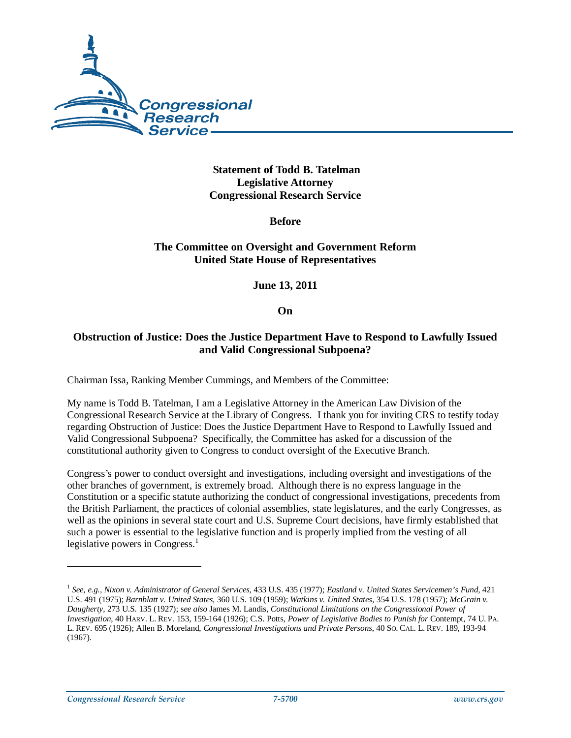

### **Statement of Todd B. Tatelman Legislative Attorney Congressional Research Service**

**Before** 

#### **The Committee on Oversight and Government Reform United State House of Representatives**

**June 13, 2011** 

**On** 

### **Obstruction of Justice: Does the Justice Department Have to Respond to Lawfully Issued and Valid Congressional Subpoena?**

Chairman Issa, Ranking Member Cummings, and Members of the Committee:

My name is Todd B. Tatelman, I am a Legislative Attorney in the American Law Division of the Congressional Research Service at the Library of Congress. I thank you for inviting CRS to testify today regarding Obstruction of Justice: Does the Justice Department Have to Respond to Lawfully Issued and Valid Congressional Subpoena? Specifically, the Committee has asked for a discussion of the constitutional authority given to Congress to conduct oversight of the Executive Branch.

Congress's power to conduct oversight and investigations, including oversight and investigations of the other branches of government, is extremely broad. Although there is no express language in the Constitution or a specific statute authorizing the conduct of congressional investigations, precedents from the British Parliament, the practices of colonial assemblies, state legislatures, and the early Congresses, as well as the opinions in several state court and U.S. Supreme Court decisions, have firmly established that such a power is essential to the legislative function and is properly implied from the vesting of all legislative powers in Congress. $<sup>1</sup>$ </sup>

<sup>1</sup> *See, e.g., Nixon v. Administrator of General Services*, 433 U.S. 435 (1977); *Eastland v. United States Servicemen's Fund*, 421 U.S. 491 (1975); *Barnblatt v. United States*, 360 U.S. 109 (1959); *Watkins v. United States*, 354 U.S. 178 (1957); *McGrain v. Daugherty*, 273 U.S. 135 (1927); s*ee also* James M. Landis, *Constitutional Limitations on the Congressional Power of Investigation*, 40 HARV. L. REV. 153, 159-164 (1926); C.S. Potts, *Power of Legislative Bodies to Punish for* Contempt, 74 U. PA. L. REV. 695 (1926); Allen B. Moreland, *Congressional Investigations and Private Persons*, 40 SO. CAL. L. REV. 189, 193-94 (1967).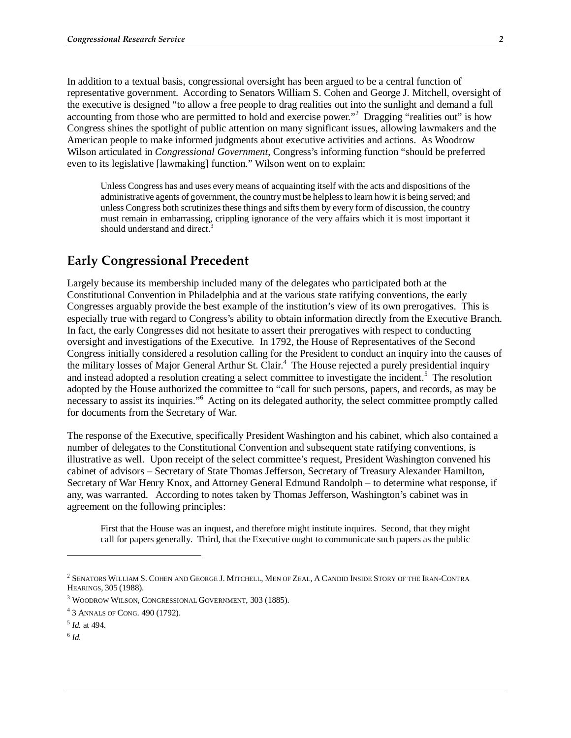In addition to a textual basis, congressional oversight has been argued to be a central function of representative government. According to Senators William S. Cohen and George J. Mitchell, oversight of the executive is designed "to allow a free people to drag realities out into the sunlight and demand a full accounting from those who are permitted to hold and exercise power."<sup>2</sup> Dragging "realities out" is how Congress shines the spotlight of public attention on many significant issues, allowing lawmakers and the American people to make informed judgments about executive activities and actions. As Woodrow Wilson articulated in *Congressional Government*, Congress's informing function "should be preferred even to its legislative [lawmaking] function." Wilson went on to explain:

Unless Congress has and uses every means of acquainting itself with the acts and dispositions of the administrative agents of government, the country must be helpless to learn how it is being served; and unless Congress both scrutinizes these things and sifts them by every form of discussion, the country must remain in embarrassing, crippling ignorance of the very affairs which it is most important it should understand and direct.<sup>3</sup>

## **Early Congressional Precedent**

Largely because its membership included many of the delegates who participated both at the Constitutional Convention in Philadelphia and at the various state ratifying conventions, the early Congresses arguably provide the best example of the institution's view of its own prerogatives. This is especially true with regard to Congress's ability to obtain information directly from the Executive Branch. In fact, the early Congresses did not hesitate to assert their prerogatives with respect to conducting oversight and investigations of the Executive. In 1792, the House of Representatives of the Second Congress initially considered a resolution calling for the President to conduct an inquiry into the causes of the military losses of Major General Arthur St. Clair.<sup>4</sup> The House rejected a purely presidential inquiry and instead adopted a resolution creating a select committee to investigate the incident.<sup>5</sup> The resolution adopted by the House authorized the committee to "call for such persons, papers, and records, as may be necessary to assist its inquiries."6 Acting on its delegated authority, the select committee promptly called for documents from the Secretary of War.

The response of the Executive, specifically President Washington and his cabinet, which also contained a number of delegates to the Constitutional Convention and subsequent state ratifying conventions, is illustrative as well. Upon receipt of the select committee's request, President Washington convened his cabinet of advisors – Secretary of State Thomas Jefferson, Secretary of Treasury Alexander Hamilton, Secretary of War Henry Knox, and Attorney General Edmund Randolph – to determine what response, if any, was warranted. According to notes taken by Thomas Jefferson, Washington's cabinet was in agreement on the following principles:

First that the House was an inquest, and therefore might institute inquires. Second, that they might call for papers generally. Third, that the Executive ought to communicate such papers as the public

 $^6$  *Id.* 

 $^2$  Senators William S. Cohen and George J. Mitchell, Men of Zeal, A Candid Inside Story of the Iran-Contra HEARINGS, 305 (1988).

<sup>3</sup> WOODROW WILSON, CONGRESSIONAL GOVERNMENT, 303 (1885).

<sup>4</sup> 3 ANNALS OF CONG. 490 (1792).

<sup>5</sup> *Id.* at 494.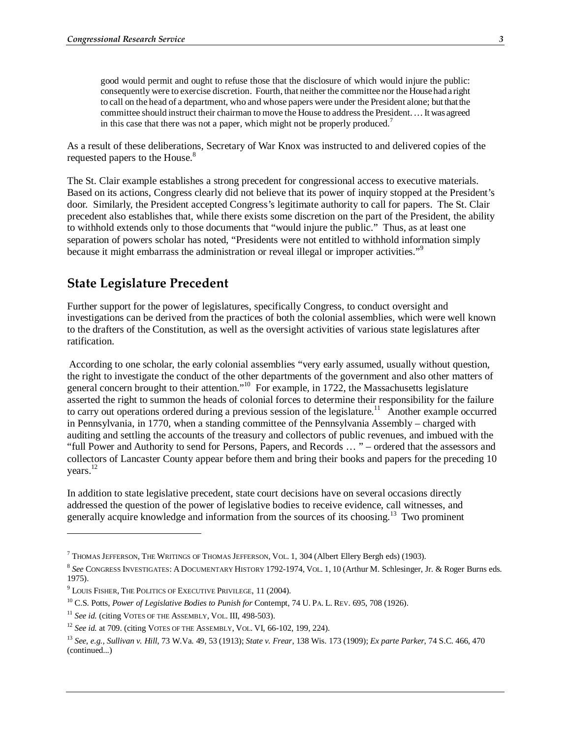good would permit and ought to refuse those that the disclosure of which would injure the public: consequently were to exercise discretion. Fourth, that neither the committee nor the House had a right to call on the head of a department, who and whose papers were under the President alone; but that the committee should instruct their chairman to move the House to address the President. … It was agreed in this case that there was not a paper, which might not be properly produced.<sup>7</sup>

As a result of these deliberations, Secretary of War Knox was instructed to and delivered copies of the requested papers to the House.<sup>8</sup>

The St. Clair example establishes a strong precedent for congressional access to executive materials. Based on its actions, Congress clearly did not believe that its power of inquiry stopped at the President's door. Similarly, the President accepted Congress's legitimate authority to call for papers. The St. Clair precedent also establishes that, while there exists some discretion on the part of the President, the ability to withhold extends only to those documents that "would injure the public." Thus, as at least one separation of powers scholar has noted, "Presidents were not entitled to withhold information simply because it might embarrass the administration or reveal illegal or improper activities."<sup>9</sup>

# **State Legislature Precedent**

Further support for the power of legislatures, specifically Congress, to conduct oversight and investigations can be derived from the practices of both the colonial assemblies, which were well known to the drafters of the Constitution, as well as the oversight activities of various state legislatures after ratification.

 According to one scholar, the early colonial assemblies "very early assumed, usually without question, the right to investigate the conduct of the other departments of the government and also other matters of general concern brought to their attention."<sup>10</sup> For example, in 1722, the Massachusetts legislature asserted the right to summon the heads of colonial forces to determine their responsibility for the failure to carry out operations ordered during a previous session of the legislature.<sup>11</sup> Another example occurred in Pennsylvania, in 1770, when a standing committee of the Pennsylvania Assembly – charged with auditing and settling the accounts of the treasury and collectors of public revenues, and imbued with the "full Power and Authority to send for Persons, Papers, and Records … " – ordered that the assessors and collectors of Lancaster County appear before them and bring their books and papers for the preceding 10 vears. $^{12}$ 

In addition to state legislative precedent, state court decisions have on several occasions directly addressed the question of the power of legislative bodies to receive evidence, call witnesses, and generally acquire knowledge and information from the sources of its choosing.<sup>13</sup> Two prominent

 $^7$  Thomas Jefferson, The Writings of Thomas Jefferson, Vol. 1, 304 (Albert Ellery Bergh eds) (1903).

<sup>8</sup> *See* CONGRESS INVESTIGATES: A DOCUMENTARY HISTORY 1792-1974, VOL. 1, 10 (Arthur M. Schlesinger, Jr. & Roger Burns eds. 1975).

<sup>&</sup>lt;sup>9</sup> LOUIS FISHER, THE POLITICS OF EXECUTIVE PRIVILEGE, 11 (2004).

<sup>&</sup>lt;sup>10</sup> C.S. Potts, *Power of Legislative Bodies to Punish for* Contempt, 74 U. PA. L. REV. 695, 708 (1926).

<sup>&</sup>lt;sup>11</sup> *See id.* (citing VOTES OF THE ASSEMBLY, VOL. III, 498-503).<br><sup>12</sup> *See id.* at 709. (citing VOTES OF THE ASSEMBLY, VOL. VI, 66-102, 199, 224).

<sup>13</sup> *See, e.g., Sullivan v. Hill*, 73 W.Va. 49, 53 (1913); *State v. Frear*, 138 Wis. 173 (1909); *Ex parte Parker*, 74 S.C. 466, 470 (continued...)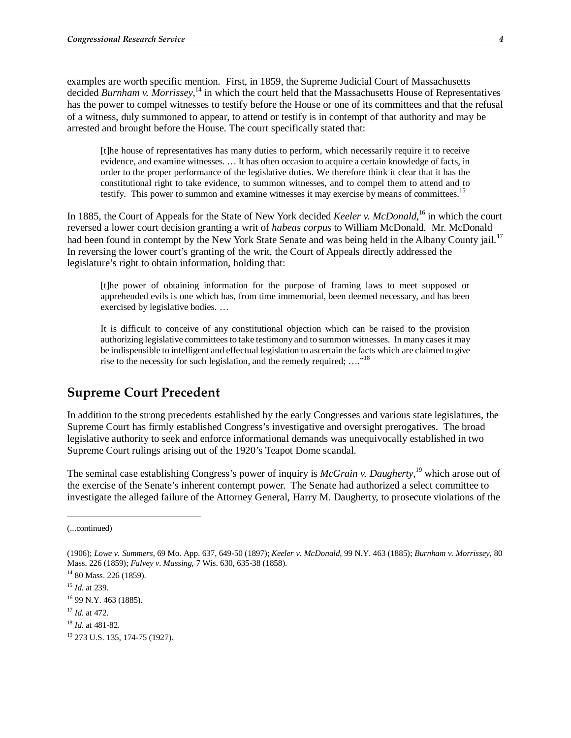examples are worth specific mention. First, in 1859, the Supreme Judicial Court of Massachusetts decided *Burnham v. Morrissey*, 14 in which the court held that the Massachusetts House of Representatives has the power to compel witnesses to testify before the House or one of its committees and that the refusal of a witness, duly summoned to appear, to attend or testify is in contempt of that authority and may be arrested and brought before the House. The court specifically stated that:

[t]he house of representatives has many duties to perform, which necessarily require it to receive evidence, and examine witnesses. … It has often occasion to acquire a certain knowledge of facts, in order to the proper performance of the legislative duties. We therefore think it clear that it has the constitutional right to take evidence, to summon witnesses, and to compel them to attend and to testify. This power to summon and examine witnesses it may exercise by means of committees.<sup>15</sup>

In 1885, the Court of Appeals for the State of New York decided *Keeler v. McDonald*, 16 in which the court reversed a lower court decision granting a writ of *habeas corpus* to William McDonald. Mr. McDonald had been found in contempt by the New York State Senate and was being held in the Albany County jail.<sup>17</sup> In reversing the lower court's granting of the writ, the Court of Appeals directly addressed the legislature's right to obtain information, holding that:

[t]he power of obtaining information for the purpose of framing laws to meet supposed or apprehended evils is one which has, from time immemorial, been deemed necessary, and has been exercised by legislative bodies. …

It is difficult to conceive of any constitutional objection which can be raised to the provision authorizing legislative committees to take testimony and to summon witnesses. In many cases it may be indispensible to intelligent and effectual legislation to ascertain the facts which are claimed to give rise to the necessity for such legislation, and the remedy required; ...."<sup>18</sup>

## **Supreme Court Precedent**

In addition to the strong precedents established by the early Congresses and various state legislatures, the Supreme Court has firmly established Congress's investigative and oversight prerogatives. The broad legislative authority to seek and enforce informational demands was unequivocally established in two Supreme Court rulings arising out of the 1920's Teapot Dome scandal.

The seminal case establishing Congress's power of inquiry is *McGrain v. Daugherty*, 19 which arose out of the exercise of the Senate's inherent contempt power. The Senate had authorized a select committee to investigate the alleged failure of the Attorney General, Harry M. Daugherty, to prosecute violations of the

1

<sup>(...</sup>continued)

<sup>(1906);</sup> *Lowe v. Summers*, 69 Mo. App. 637, 649-50 (1897); *Keeler v. McDonald*, 99 N.Y. 463 (1885); *Burnham v. Morrissey*, 80 Mass. 226 (1859); *Falvey v. Massing*, 7 Wis. 630, 635-38 (1858). 14 80 Mass. 226 (1859).

<sup>15</sup> *Id.* at 239.

<sup>16 99</sup> N.Y. 463 (1885).

<sup>17</sup> *Id.* at 472.

<sup>18</sup> *Id.* at 481-82.

<sup>19 273</sup> U.S. 135, 174-75 (1927).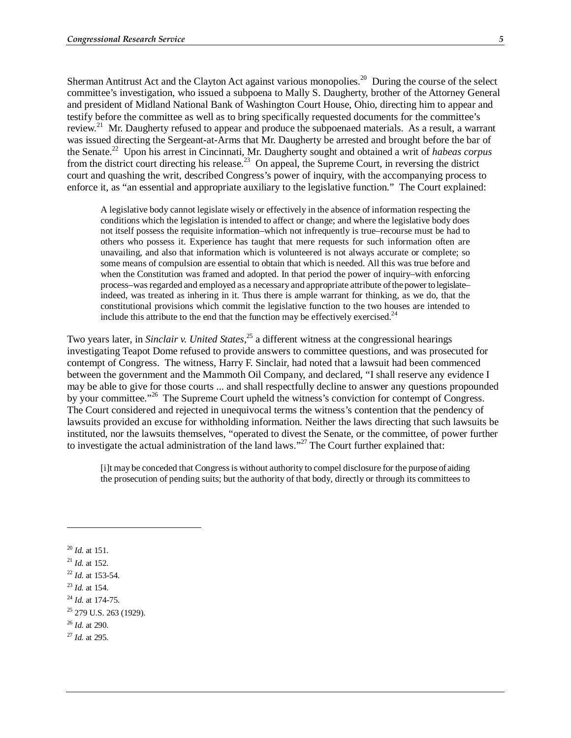Sherman Antitrust Act and the Clayton Act against various monopolies.<sup>20</sup> During the course of the select committee's investigation, who issued a subpoena to Mally S. Daugherty, brother of the Attorney General and president of Midland National Bank of Washington Court House, Ohio, directing him to appear and testify before the committee as well as to bring specifically requested documents for the committee's review.<sup>21</sup> Mr. Daugherty refused to appear and produce the subpoenaed materials. As a result, a warrant was issued directing the Sergeant-at-Arms that Mr. Daugherty be arrested and brought before the bar of the Senate.22 Upon his arrest in Cincinnati, Mr. Daugherty sought and obtained a writ of *habeas corpus* from the district court directing his release.<sup>23</sup> On appeal, the Supreme Court, in reversing the district court and quashing the writ, described Congress's power of inquiry, with the accompanying process to enforce it, as "an essential and appropriate auxiliary to the legislative function." The Court explained:

A legislative body cannot legislate wisely or effectively in the absence of information respecting the conditions which the legislation is intended to affect or change; and where the legislative body does not itself possess the requisite information–which not infrequently is true–recourse must be had to others who possess it. Experience has taught that mere requests for such information often are unavailing, and also that information which is volunteered is not always accurate or complete; so some means of compulsion are essential to obtain that which is needed. All this was true before and when the Constitution was framed and adopted. In that period the power of inquiry–with enforcing process–was regarded and employed as a necessary and appropriate attribute of the power to legislate– indeed, was treated as inhering in it. Thus there is ample warrant for thinking, as we do, that the constitutional provisions which commit the legislative function to the two houses are intended to include this attribute to the end that the function may be effectively exercised.<sup>24</sup>

Two years later, in *Sinclair v. United States*,<sup>25</sup> a different witness at the congressional hearings investigating Teapot Dome refused to provide answers to committee questions, and was prosecuted for contempt of Congress. The witness, Harry F. Sinclair, had noted that a lawsuit had been commenced between the government and the Mammoth Oil Company, and declared, "I shall reserve any evidence I may be able to give for those courts ... and shall respectfully decline to answer any questions propounded by your committee."<sup>26</sup> The Supreme Court upheld the witness's conviction for contempt of Congress. The Court considered and rejected in unequivocal terms the witness's contention that the pendency of lawsuits provided an excuse for withholding information. Neither the laws directing that such lawsuits be instituted, nor the lawsuits themselves, "operated to divest the Senate, or the committee, of power further to investigate the actual administration of the land laws."<sup>27</sup> The Court further explained that:

[i]t may be conceded that Congress is without authority to compel disclosure for the purpose of aiding the prosecution of pending suits; but the authority of that body, directly or through its committees to

<sup>20</sup> *Id.* at 151.

- <sup>21</sup> *Id.* at 152.
- <sup>22</sup> *Id.* at 153-54.
- <sup>23</sup> *Id.* at 154.
- <sup>24</sup> *Id.* at 174-75.
- <sup>25</sup> 279 U.S. 263 (1929).
- <sup>26</sup> *Id.* at 290.
- <sup>27</sup> *Id.* at 295.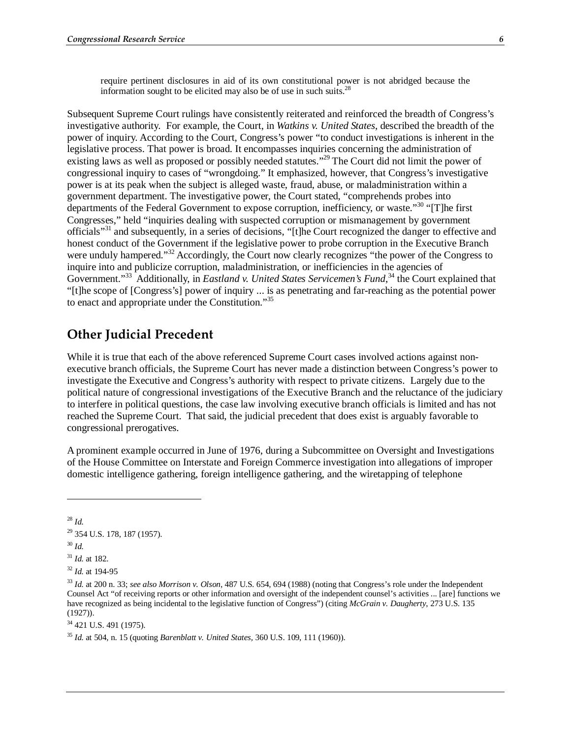require pertinent disclosures in aid of its own constitutional power is not abridged because the information sought to be elicited may also be of use in such suits.<sup>28</sup>

Subsequent Supreme Court rulings have consistently reiterated and reinforced the breadth of Congress's investigative authority. For example, the Court, in *Watkins v. United States*, described the breadth of the power of inquiry. According to the Court, Congress's power "to conduct investigations is inherent in the legislative process. That power is broad. It encompasses inquiries concerning the administration of existing laws as well as proposed or possibly needed statutes."<sup>29</sup> The Court did not limit the power of congressional inquiry to cases of "wrongdoing." It emphasized, however, that Congress's investigative power is at its peak when the subject is alleged waste, fraud, abuse, or maladministration within a government department. The investigative power, the Court stated, "comprehends probes into departments of the Federal Government to expose corruption, inefficiency, or waste."<sup>30</sup> "[T]he first Congresses," held "inquiries dealing with suspected corruption or mismanagement by government officials"31 and subsequently, in a series of decisions, "[t]he Court recognized the danger to effective and honest conduct of the Government if the legislative power to probe corruption in the Executive Branch were unduly hampered."<sup>32</sup> Accordingly, the Court now clearly recognizes "the power of the Congress to inquire into and publicize corruption, maladministration, or inefficiencies in the agencies of Government."<sup>33</sup> Additionally, in *Eastland v. United States Servicemen's Fund*,<sup>34</sup> the Court explained that "[t]he scope of [Congress's] power of inquiry ... is as penetrating and far-reaching as the potential power to enact and appropriate under the Constitution."35

# **Other Judicial Precedent**

While it is true that each of the above referenced Supreme Court cases involved actions against nonexecutive branch officials, the Supreme Court has never made a distinction between Congress's power to investigate the Executive and Congress's authority with respect to private citizens. Largely due to the political nature of congressional investigations of the Executive Branch and the reluctance of the judiciary to interfere in political questions, the case law involving executive branch officials is limited and has not reached the Supreme Court. That said, the judicial precedent that does exist is arguably favorable to congressional prerogatives.

A prominent example occurred in June of 1976, during a Subcommittee on Oversight and Investigations of the House Committee on Interstate and Foreign Commerce investigation into allegations of improper domestic intelligence gathering, foreign intelligence gathering, and the wiretapping of telephone

<sup>28</sup> *Id.*

-

29 354 U.S. 178, 187 (1957).

<sup>30</sup> *Id.*

<sup>31</sup> *Id.* at 182.

<sup>32</sup> *Id.* at 194-95

<sup>34</sup> 421 U.S. 491 (1975).

<sup>33</sup> *Id.* at 200 n. 33; *see also Morrison v. Olson*, 487 U.S. 654, 694 (1988) (noting that Congress's role under the Independent Counsel Act "of receiving reports or other information and oversight of the independent counsel's activities ... [are] functions we have recognized as being incidental to the legislative function of Congress") (citing *McGrain v. Daugherty*, 273 U.S. 135 (1927)).

<sup>35</sup> *Id.* at 504, n. 15 (quoting *Barenblatt v. United States,* 360 U.S. 109, 111 (1960)).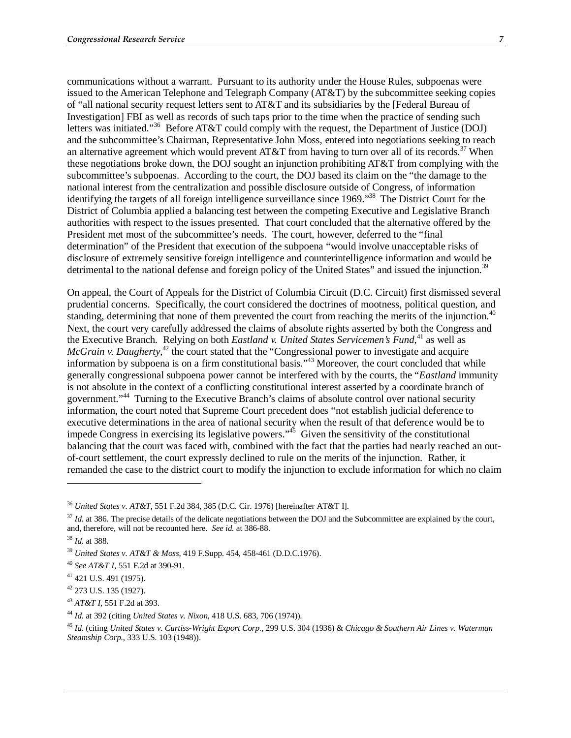communications without a warrant. Pursuant to its authority under the House Rules, subpoenas were issued to the American Telephone and Telegraph Company (AT&T) by the subcommittee seeking copies of "all national security request letters sent to AT&T and its subsidiaries by the [Federal Bureau of Investigation] FBI as well as records of such taps prior to the time when the practice of sending such letters was initiated."<sup>36</sup> Before AT&T could comply with the request, the Department of Justice (DOJ) and the subcommittee's Chairman, Representative John Moss, entered into negotiations seeking to reach an alternative agreement which would prevent AT&T from having to turn over all of its records.<sup>37</sup> When these negotiations broke down, the DOJ sought an injunction prohibiting AT&T from complying with the subcommittee's subpoenas. According to the court, the DOJ based its claim on the "the damage to the national interest from the centralization and possible disclosure outside of Congress, of information identifying the targets of all foreign intelligence surveillance since 1969.<sup>38</sup> The District Court for the District of Columbia applied a balancing test between the competing Executive and Legislative Branch authorities with respect to the issues presented. That court concluded that the alternative offered by the President met most of the subcommittee's needs. The court, however, deferred to the "final determination" of the President that execution of the subpoena "would involve unacceptable risks of disclosure of extremely sensitive foreign intelligence and counterintelligence information and would be detrimental to the national defense and foreign policy of the United States" and issued the injunction.<sup>39</sup>

On appeal, the Court of Appeals for the District of Columbia Circuit (D.C. Circuit) first dismissed several prudential concerns. Specifically, the court considered the doctrines of mootness, political question, and standing, determining that none of them prevented the court from reaching the merits of the injunction.<sup>40</sup> Next, the court very carefully addressed the claims of absolute rights asserted by both the Congress and the Executive Branch. Relying on both *Eastland v. United States Servicemen's Fund*, 41 as well as *McGrain v. Daugherty*,<sup>42</sup> the court stated that the "Congressional power to investigate and acquire information by subpoena is on a firm constitutional basis."43 Moreover, the court concluded that while generally congressional subpoena power cannot be interfered with by the courts, the "*Eastland* immunity is not absolute in the context of a conflicting constitutional interest asserted by a coordinate branch of government."44 Turning to the Executive Branch's claims of absolute control over national security information, the court noted that Supreme Court precedent does "not establish judicial deference to executive determinations in the area of national security when the result of that deference would be to impede Congress in exercising its legislative powers." $45$  Given the sensitivity of the constitutional balancing that the court was faced with, combined with the fact that the parties had nearly reached an outof-court settlement, the court expressly declined to rule on the merits of the injunction. Rather, it remanded the case to the district court to modify the injunction to exclude information for which no claim

<u>.</u>

<sup>36</sup> *United States v. AT&T*, 551 F.2d 384, 385 (D.C. Cir. 1976) [hereinafter AT&T I].

 $37$  *Id.* at 386. The precise details of the delicate negotiations between the DOJ and the Subcommittee are explained by the court, and, therefore, will not be recounted here. *See id.* at 386-88.

<sup>38</sup> *Id.* at 388.

<sup>39</sup> *United States v. AT&T & Moss*, 419 F.Supp. 454, 458-461 (D.D.C.1976).

<sup>40</sup> *See AT&T I*, 551 F.2d at 390-91.

<sup>41 421</sup> U.S. 491 (1975).

<sup>42 273</sup> U.S. 135 (1927).

<sup>43</sup> *AT&T I*, 551 F.2d at 393.

<sup>44</sup> *Id.* at 392 (citing *United States v. Nixon*, 418 U.S. 683, 706 (1974)).

<sup>45</sup> *Id.* (citing *United States v. Curtiss-Wright Export Corp.*, 299 U.S. 304 (1936) & *Chicago & Southern Air Lines v. Waterman Steamship Corp.*, 333 U.S. 103 (1948)).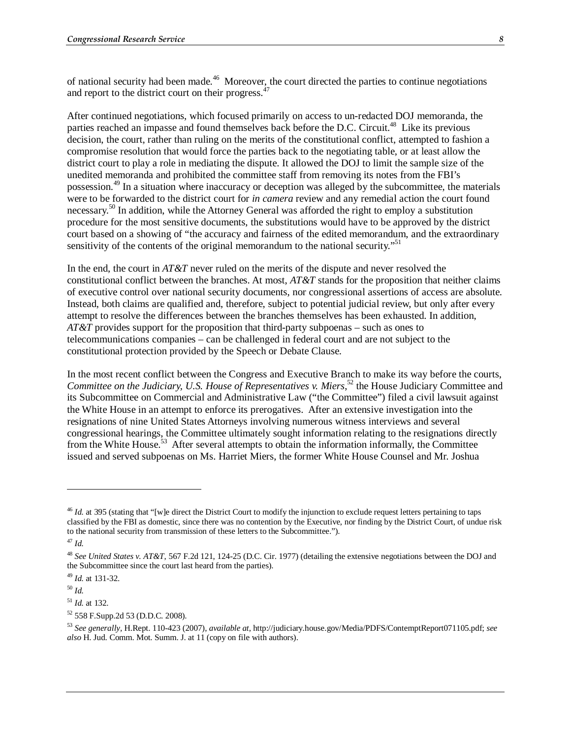of national security had been made.<sup>46</sup> Moreover, the court directed the parties to continue negotiations and report to the district court on their progress.<sup>47</sup>

After continued negotiations, which focused primarily on access to un-redacted DOJ memoranda, the parties reached an impasse and found themselves back before the D.C. Circuit.<sup>48</sup> Like its previous decision, the court, rather than ruling on the merits of the constitutional conflict, attempted to fashion a compromise resolution that would force the parties back to the negotiating table, or at least allow the district court to play a role in mediating the dispute. It allowed the DOJ to limit the sample size of the unedited memoranda and prohibited the committee staff from removing its notes from the FBI's possession.49 In a situation where inaccuracy or deception was alleged by the subcommittee, the materials were to be forwarded to the district court for *in camera* review and any remedial action the court found necessary.<sup>50</sup> In addition, while the Attorney General was afforded the right to employ a substitution procedure for the most sensitive documents, the substitutions would have to be approved by the district court based on a showing of "the accuracy and fairness of the edited memorandum, and the extraordinary sensitivity of the contents of the original memorandum to the national security."<sup>51</sup>

In the end, the court in *AT&T* never ruled on the merits of the dispute and never resolved the constitutional conflict between the branches. At most, *AT&T* stands for the proposition that neither claims of executive control over national security documents, nor congressional assertions of access are absolute. Instead, both claims are qualified and, therefore, subject to potential judicial review, but only after every attempt to resolve the differences between the branches themselves has been exhausted. In addition, *AT&T* provides support for the proposition that third-party subpoenas – such as ones to telecommunications companies – can be challenged in federal court and are not subject to the constitutional protection provided by the Speech or Debate Clause.

In the most recent conflict between the Congress and Executive Branch to make its way before the courts, Committee on the Judiciary, U.S. House of Representatives v. Miers,<sup>52</sup> the House Judiciary Committee and its Subcommittee on Commercial and Administrative Law ("the Committee") filed a civil lawsuit against the White House in an attempt to enforce its prerogatives. After an extensive investigation into the resignations of nine United States Attorneys involving numerous witness interviews and several congressional hearings, the Committee ultimately sought information relating to the resignations directly from the White House.<sup>53</sup> After several attempts to obtain the information informally, the Committee issued and served subpoenas on Ms. Harriet Miers, the former White House Counsel and Mr. Joshua

<u>.</u>

<sup>51</sup> *Id.* at 132.

<sup>&</sup>lt;sup>46</sup> *Id.* at 395 (stating that "[w]e direct the District Court to modify the injunction to exclude request letters pertaining to taps classified by the FBI as domestic, since there was no contention by the Executive, nor finding by the District Court, of undue risk to the national security from transmission of these letters to the Subcommittee.").

<sup>47</sup> *Id.*

<sup>48</sup> *See United States v. AT&T*, 567 F.2d 121, 124-25 (D.C. Cir. 1977) (detailing the extensive negotiations between the DOJ and the Subcommittee since the court last heard from the parties).

<sup>49</sup> *Id.* at 131-32. 50 *Id.*

<sup>52 558</sup> F.Supp.2d 53 (D.D.C. 2008).

<sup>53</sup> *See generally,* H.Rept. 110-423 (2007), *available at*, http://judiciary.house.gov/Media/PDFS/ContemptReport071105.pdf; *see also* H. Jud. Comm. Mot. Summ. J. at 11 (copy on file with authors).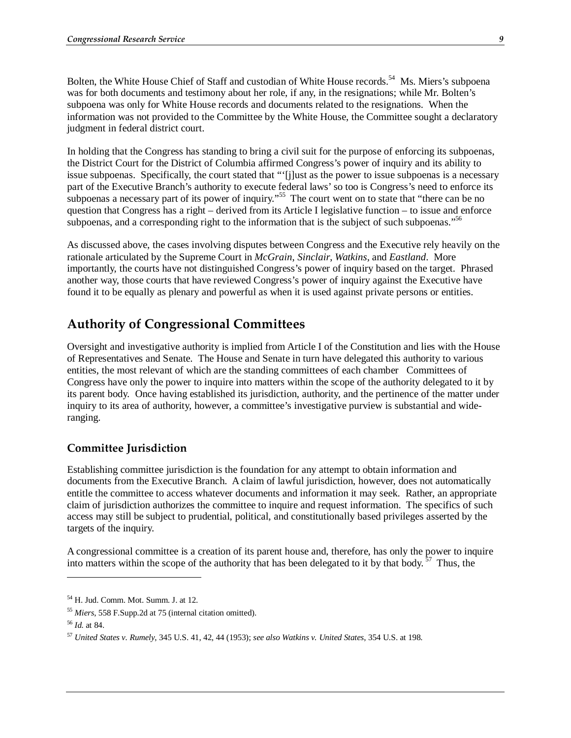Bolten, the White House Chief of Staff and custodian of White House records.<sup>54</sup> Ms. Miers's subpoena was for both documents and testimony about her role, if any, in the resignations; while Mr. Bolten's subpoena was only for White House records and documents related to the resignations. When the information was not provided to the Committee by the White House, the Committee sought a declaratory judgment in federal district court.

In holding that the Congress has standing to bring a civil suit for the purpose of enforcing its subpoenas, the District Court for the District of Columbia affirmed Congress's power of inquiry and its ability to issue subpoenas. Specifically, the court stated that "'[j]ust as the power to issue subpoenas is a necessary part of the Executive Branch's authority to execute federal laws' so too is Congress's need to enforce its subpoenas a necessary part of its power of inquiry.<sup>55</sup> The court went on to state that "there can be no question that Congress has a right – derived from its Article I legislative function – to issue and enforce subpoenas, and a corresponding right to the information that is the subject of such subpoenas."<sup>56</sup>

As discussed above, the cases involving disputes between Congress and the Executive rely heavily on the rationale articulated by the Supreme Court in *McGrain*, *Sinclair*, *Watkins*, and *Eastland*. More importantly, the courts have not distinguished Congress's power of inquiry based on the target. Phrased another way, those courts that have reviewed Congress's power of inquiry against the Executive have found it to be equally as plenary and powerful as when it is used against private persons or entities.

# **Authority of Congressional Committees**

Oversight and investigative authority is implied from Article I of the Constitution and lies with the House of Representatives and Senate. The House and Senate in turn have delegated this authority to various entities, the most relevant of which are the standing committees of each chamber Committees of Congress have only the power to inquire into matters within the scope of the authority delegated to it by its parent body. Once having established its jurisdiction, authority, and the pertinence of the matter under inquiry to its area of authority, however, a committee's investigative purview is substantial and wideranging.

#### **Committee Jurisdiction**

Establishing committee jurisdiction is the foundation for any attempt to obtain information and documents from the Executive Branch. A claim of lawful jurisdiction, however, does not automatically entitle the committee to access whatever documents and information it may seek. Rather, an appropriate claim of jurisdiction authorizes the committee to inquire and request information. The specifics of such access may still be subject to prudential, political, and constitutionally based privileges asserted by the targets of the inquiry.

A congressional committee is a creation of its parent house and, therefore, has only the power to inquire into matters within the scope of the authority that has been delegated to it by that body.<sup>57</sup> Thus, the

<sup>54</sup> H. Jud. Comm. Mot. Summ. J. at 12.

<sup>55</sup> *Miers*, 558 F.Supp.2d at 75 (internal citation omitted).

<sup>56</sup> *Id.* at 84.

<sup>57</sup> *United States v. Rumely*, 345 U.S. 41, 42, 44 (1953); *see also Watkins v. United States*, 354 U.S. at 198.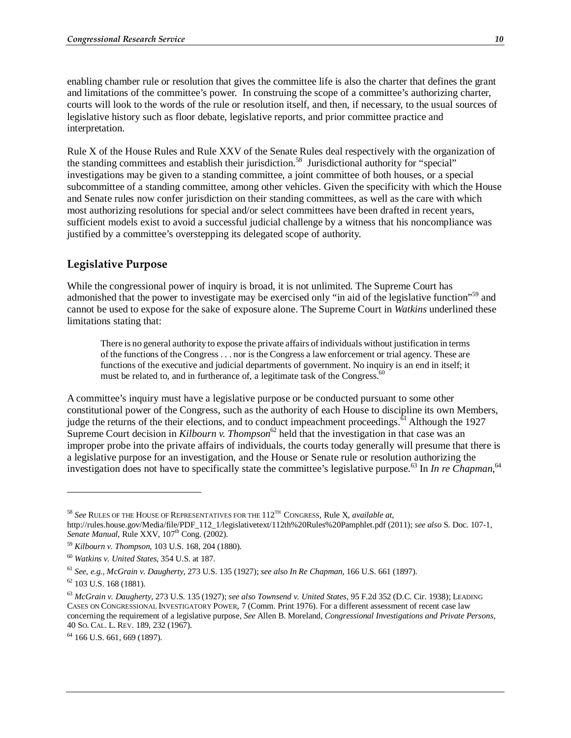enabling chamber rule or resolution that gives the committee life is also the charter that defines the grant and limitations of the committee's power. In construing the scope of a committee's authorizing charter, courts will look to the words of the rule or resolution itself, and then, if necessary, to the usual sources of legislative history such as floor debate, legislative reports, and prior committee practice and interpretation.

Rule X of the House Rules and Rule XXV of the Senate Rules deal respectively with the organization of the standing committees and establish their jurisdiction.<sup>58</sup> Jurisdictional authority for "special" investigations may be given to a standing committee, a joint committee of both houses, or a special subcommittee of a standing committee, among other vehicles. Given the specificity with which the House and Senate rules now confer jurisdiction on their standing committees, as well as the care with which most authorizing resolutions for special and/or select committees have been drafted in recent years, sufficient models exist to avoid a successful judicial challenge by a witness that his noncompliance was justified by a committee's overstepping its delegated scope of authority.

## **Legislative Purpose**

While the congressional power of inquiry is broad, it is not unlimited. The Supreme Court has admonished that the power to investigate may be exercised only "in aid of the legislative function"<sup>59</sup> and cannot be used to expose for the sake of exposure alone. The Supreme Court in *Watkins* underlined these limitations stating that:

There is no general authority to expose the private affairs of individuals without justification in terms of the functions of the Congress . . . nor is the Congress a law enforcement or trial agency. These are functions of the executive and judicial departments of government. No inquiry is an end in itself; it must be related to, and in furtherance of, a legitimate task of the Congress.<sup>60</sup>

A committee's inquiry must have a legislative purpose or be conducted pursuant to some other constitutional power of the Congress, such as the authority of each House to discipline its own Members, judge the returns of the their elections, and to conduct impeachment proceedings.  $\delta$ <sup>1</sup> Although the 1927 Supreme Court decision in *Kilbourn v. Thompson*<sup>62</sup> held that the investigation in that case was an improper probe into the private affairs of individuals, the courts today generally will presume that there is a legislative purpose for an investigation, and the House or Senate rule or resolution authorizing the investigation does not have to specifically state the committee's legislative purpose.<sup>63</sup> In *In re Chapman*,<sup>64</sup>

<sup>58</sup> *See* RULES OF THE HOUSE OF REPRESENTATIVES FOR THE 112TH CONGRESS, Rule X, *available at*,

http://rules.house.gov/Media/file/PDF\_112\_1/legislativetext/112th%20Rules%20Pamphlet.pdf (2011); *see also* S. Doc. 107-1, Senate Manual, Rule XXV, 107<sup>th</sup> Cong. (2002).

<sup>59</sup> *Kilbourn v. Thompson*, 103 U.S. 168, 204 (1880).

<sup>60</sup> *Watkins v. United States*, 354 U.S. at 187.

<sup>61</sup> *See*, *e.g., McGrain v. Daugherty*, 273 U.S. 135 (1927); *see also In Re Chapman*, 166 U.S. 661 (1897).

 $62$  103 U.S. 168 (1881).

<sup>63</sup> *McGrain v. Daugherty*, 273 U.S. 135 (1927); *see also Townsend v. United States*, 95 F.2d 352 (D.C. Cir. 1938); LEADING CASES ON CONGRESSIONAL INVESTIGATORY POWER, 7 (Comm. Print 1976). For a different assessment of recent case law concerning the requirement of a legislative purpose, *See* Allen B. Moreland, *Congressional Investigations and Private Persons*, 40 SO. CAL. L. REV. 189, 232 (1967).

<sup>64 166</sup> U.S. 661, 669 (1897).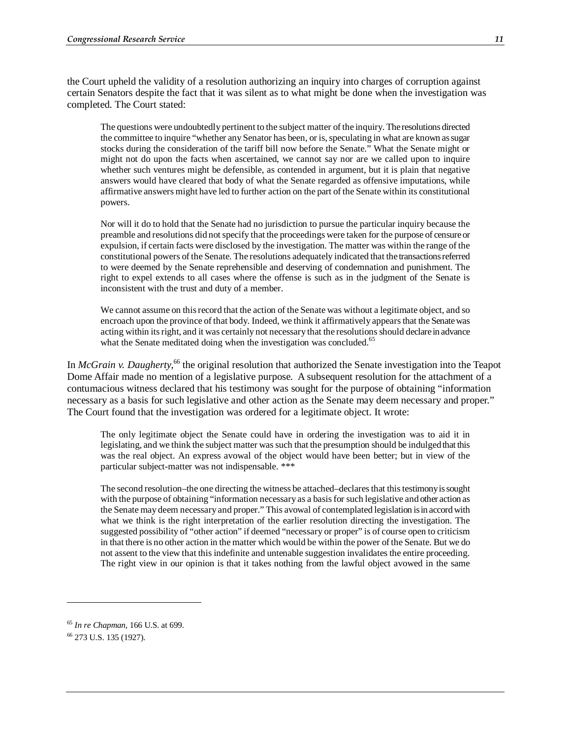the Court upheld the validity of a resolution authorizing an inquiry into charges of corruption against certain Senators despite the fact that it was silent as to what might be done when the investigation was completed. The Court stated:

The questions were undoubtedly pertinent to the subject matter of the inquiry. The resolutions directed the committee to inquire "whether any Senator has been, or is, speculating in what are known as sugar stocks during the consideration of the tariff bill now before the Senate." What the Senate might or might not do upon the facts when ascertained, we cannot say nor are we called upon to inquire whether such ventures might be defensible, as contended in argument, but it is plain that negative answers would have cleared that body of what the Senate regarded as offensive imputations, while affirmative answers might have led to further action on the part of the Senate within its constitutional powers.

Nor will it do to hold that the Senate had no jurisdiction to pursue the particular inquiry because the preamble and resolutions did not specify that the proceedings were taken for the purpose of censure or expulsion, if certain facts were disclosed by the investigation. The matter was within the range of the constitutional powers of the Senate. The resolutions adequately indicated that the transactions referred to were deemed by the Senate reprehensible and deserving of condemnation and punishment. The right to expel extends to all cases where the offense is such as in the judgment of the Senate is inconsistent with the trust and duty of a member.

We cannot assume on this record that the action of the Senate was without a legitimate object, and so encroach upon the province of that body. Indeed, we think it affirmatively appears that the Senate was acting within its right, and it was certainly not necessary that the resolutions should declare in advance what the Senate meditated doing when the investigation was concluded.<sup>65</sup>

In *McGrain v. Daugherty*,<sup>66</sup> the original resolution that authorized the Senate investigation into the Teapot Dome Affair made no mention of a legislative purpose. A subsequent resolution for the attachment of a contumacious witness declared that his testimony was sought for the purpose of obtaining "information necessary as a basis for such legislative and other action as the Senate may deem necessary and proper." The Court found that the investigation was ordered for a legitimate object. It wrote:

The only legitimate object the Senate could have in ordering the investigation was to aid it in legislating, and we think the subject matter was such that the presumption should be indulged that this was the real object. An express avowal of the object would have been better; but in view of the particular subject-matter was not indispensable. \*\*\*

The second resolution–the one directing the witness be attached–declares that this testimony is sought with the purpose of obtaining "information necessary as a basis for such legislative and other action as the Senate may deem necessary and proper." This avowal of contemplated legislation is in accord with what we think is the right interpretation of the earlier resolution directing the investigation. The suggested possibility of "other action" if deemed "necessary or proper" is of course open to criticism in that there is no other action in the matter which would be within the power of the Senate. But we do not assent to the view that this indefinite and untenable suggestion invalidates the entire proceeding. The right view in our opinion is that it takes nothing from the lawful object avowed in the same

<sup>65</sup> *In re Chapman*, 166 U.S. at 699.

<sup>66 273</sup> U.S. 135 (1927).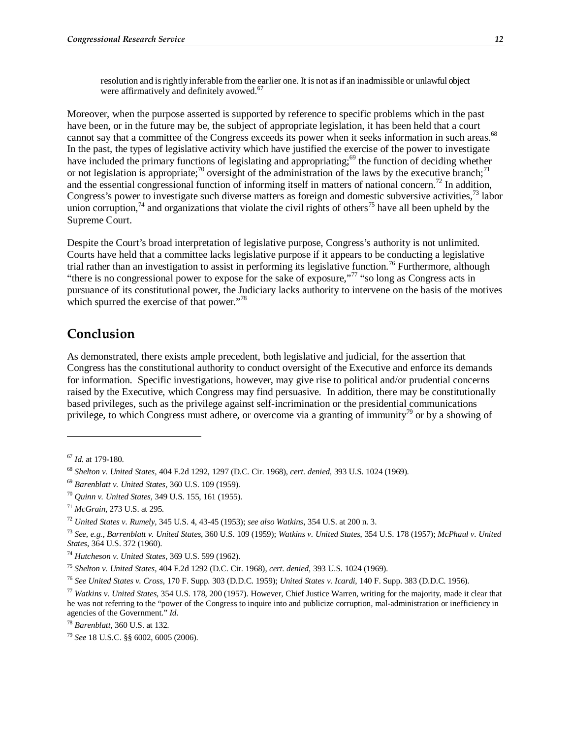resolution and is rightly inferable from the earlier one. It is not as if an inadmissible or unlawful object were affirmatively and definitely avowed.<sup>67</sup>

Moreover, when the purpose asserted is supported by reference to specific problems which in the past have been, or in the future may be, the subject of appropriate legislation, it has been held that a court cannot say that a committee of the Congress exceeds its power when it seeks information in such areas.<sup>68</sup> In the past, the types of legislative activity which have justified the exercise of the power to investigate have included the primary functions of legislating and appropriating;<sup>69</sup> the function of deciding whether or not legislation is appropriate;<sup>70</sup> oversight of the administration of the laws by the executive branch;<sup>71</sup> and the essential congressional function of informing itself in matters of national concern.<sup>72</sup> In addition, Congress's power to investigate such diverse matters as foreign and domestic subversive activities.<sup>73</sup> labor union corruption,<sup>74</sup> and organizations that violate the civil rights of others<sup>75</sup> have all been upheld by the Supreme Court.

Despite the Court's broad interpretation of legislative purpose, Congress's authority is not unlimited. Courts have held that a committee lacks legislative purpose if it appears to be conducting a legislative trial rather than an investigation to assist in performing its legislative function.<sup>76</sup> Furthermore, although "there is no congressional power to expose for the sake of exposure,"<sup>77</sup> "so long as Congress acts in pursuance of its constitutional power, the Judiciary lacks authority to intervene on the basis of the motives which spurred the exercise of that power."<sup>78</sup>

## **Conclusion**

As demonstrated, there exists ample precedent, both legislative and judicial, for the assertion that Congress has the constitutional authority to conduct oversight of the Executive and enforce its demands for information. Specific investigations, however, may give rise to political and/or prudential concerns raised by the Executive, which Congress may find persuasive. In addition, there may be constitutionally based privileges, such as the privilege against self-incrimination or the presidential communications privilege, to which Congress must adhere, or overcome via a granting of immunity<sup>79</sup> or by a showing of

<sup>67</sup> *Id.* at 179-180.

<sup>68</sup> *Shelton v. United States,* 404 F.2d 1292, 1297 (D.C. Cir. 1968), *cert. denied,* 393 U.S. 1024 (1969).

<sup>69</sup> *Barenblatt v. United States,* 360 U.S. 109 (1959)*.*

<sup>70</sup> *Quinn v. United States,* 349 U.S. 155, 161 (1955).

<sup>71</sup> *McGrain*, 273 U.S. at 295.

<sup>72</sup> *United States v. Rumely,* 345 U.S. 4, 43-45 (1953); *see also Watkins*, 354 U.S. at 200 n. 3.

<sup>73</sup> *See, e.g., Barrenblatt v. United States*, 360 U.S. 109 (1959); *Watkins v. United States*, 354 U.S. 178 (1957); *McPhaul v. United States*, 364 U.S. 372 (1960).

<sup>74</sup> *Hutcheson v. United States*, 369 U.S. 599 (1962).

<sup>75</sup> *Shelton v. United States*, 404 F.2d 1292 (D.C. Cir. 1968), *cert. denied*, 393 U.S. 1024 (1969).

<sup>76</sup> *See United States v. Cross*, 170 F. Supp. 303 (D.D.C. 1959); *United States v. Icardi*, 140 F. Supp. 383 (D.D.C. 1956).

<sup>77</sup> *Watkins v. United States*, 354 U.S. 178, 200 (1957). However, Chief Justice Warren, writing for the majority, made it clear that he was not referring to the "power of the Congress to inquire into and publicize corruption, mal-administration or inefficiency in agencies of the Government." *Id.*

<sup>78</sup> *Barenblatt*, 360 U.S. at 132.

<sup>79</sup> *See* 18 U.S.C. §§ 6002, 6005 (2006).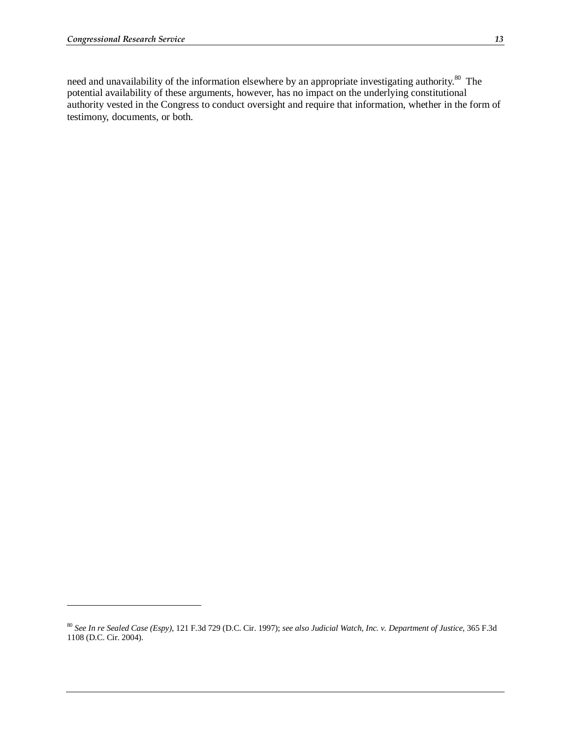-

need and unavailability of the information elsewhere by an appropriate investigating authority.<sup>80</sup> The potential availability of these arguments, however, has no impact on the underlying constitutional authority vested in the Congress to conduct oversight and require that information, whether in the form of testimony, documents, or both.

<sup>80</sup> *See In re Sealed Case (Espy)*, 121 F.3d 729 (D.C. Cir. 1997); *see also Judicial Watch, Inc. v. Department of Justice*, 365 F.3d 1108 (D.C. Cir. 2004).